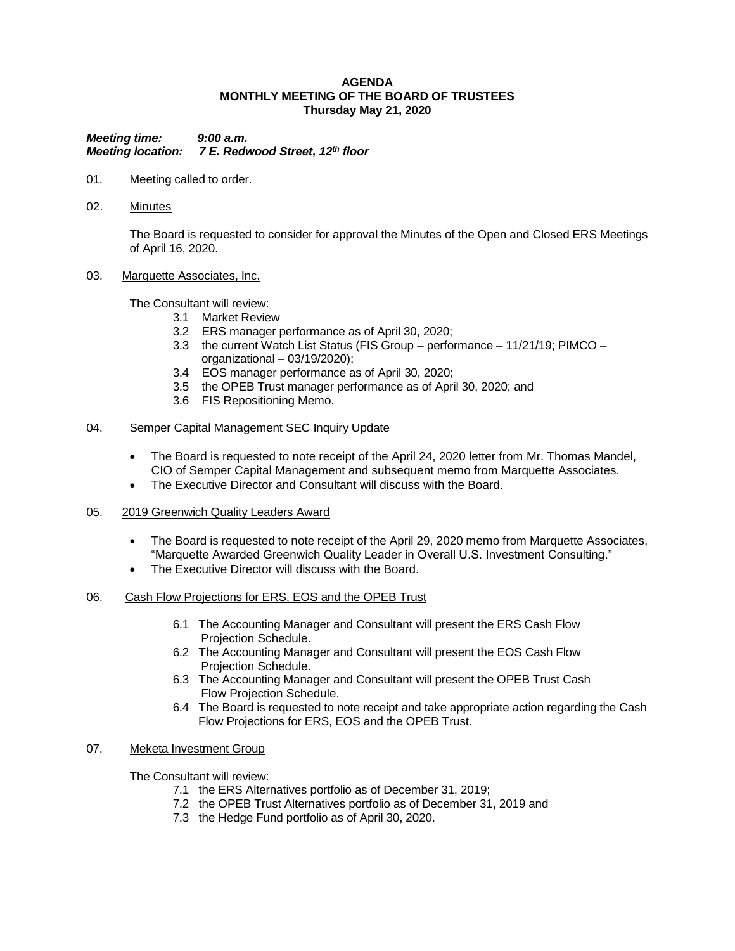#### **AGENDA MONTHLY MEETING OF THE BOARD OF TRUSTEES Thursday May 21, 2020**

*Meeting time: 9:00 a.m. Meeting location: 7 E. Redwood Street, 12th floor*

- 01. Meeting called to order.
- 02. Minutes

The Board is requested to consider for approval the Minutes of the Open and Closed ERS Meetings of April 16, 2020.

03. Marquette Associates, Inc.

The Consultant will review:

- 3.1 Market Review
- 3.2 ERS manager performance as of April 30, 2020;
- 3.3 the current Watch List Status (FIS Group performance 11/21/19; PIMCO organizational – 03/19/2020);
- 3.4 EOS manager performance as of April 30, 2020;
- 3.5 the OPEB Trust manager performance as of April 30, 2020; and
- 3.6 FIS Repositioning Memo.

### 04. Semper Capital Management SEC Inquiry Update

- The Board is requested to note receipt of the April 24, 2020 letter from Mr. Thomas Mandel, CIO of Semper Capital Management and subsequent memo from Marquette Associates.
- The Executive Director and Consultant will discuss with the Board.
- 05. 2019 Greenwich Quality Leaders Award
	- The Board is requested to note receipt of the April 29, 2020 memo from Marquette Associates, "Marquette Awarded Greenwich Quality Leader in Overall U.S. Investment Consulting."
	- The Executive Director will discuss with the Board.
- 06. Cash Flow Projections for ERS, EOS and the OPEB Trust
	- 6.1 The Accounting Manager and Consultant will present the ERS Cash Flow Projection Schedule.
	- 6.2 The Accounting Manager and Consultant will present the EOS Cash Flow Projection Schedule.
	- 6.3 The Accounting Manager and Consultant will present the OPEB Trust Cash Flow Projection Schedule.
	- 6.4 The Board is requested to note receipt and take appropriate action regarding the Cash Flow Projections for ERS, EOS and the OPEB Trust.

### 07. Meketa Investment Group

The Consultant will review:

- 7.1 the ERS Alternatives portfolio as of December 31, 2019;
- 7.2 the OPEB Trust Alternatives portfolio as of December 31, 2019 and
- 7.3 the Hedge Fund portfolio as of April 30, 2020.